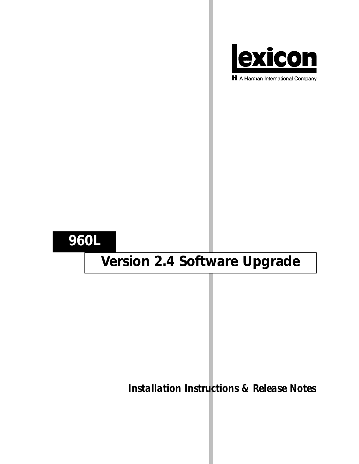

H A Harman International Company

## **960L**

# **Version 2.4 Software Upgrade**

*Installation Instructions & Release Notes*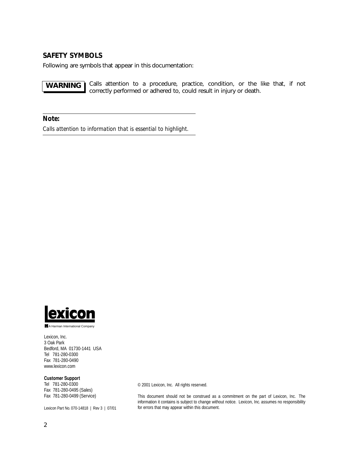## **SAFETY SYMBOLS**

Following are symbols that appear in this documentation:

Calls attention to a procedure, practice, condition, or the like that, if not correctly performed or adhered to, could result in injury or death. **WARNING**

*Note:*

*Calls attention to information that is essential to highlight.*



A Harman International Company

Lexicon, Inc. 3 Oak Park Bedford, MA 01730-1441 USA Tel 781-280-0300 Fax 781-280-0490 www.lexicon.com

### **Customer Support**

Tel 781-280-0300 Fax 781-280-0495 (Sales) Fax 781-280-0499 (Service)

Lexicon Part No. 070-14818 | Rev 3 | 07/01

© 2001 Lexicon, Inc. All rights reserved.

This document should not be construed as a commitment on the part of Lexicon, Inc. The information it contains is subject to change without notice. Lexicon, Inc. assumes no responsibility for errors that may appear within this document.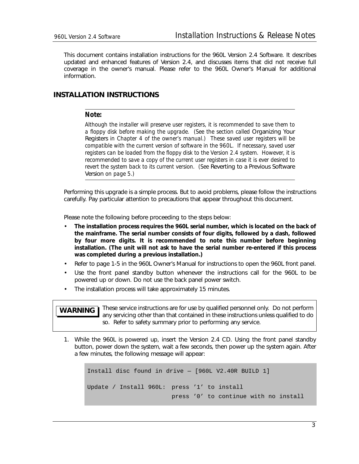This document contains installation instructions for the 960L Version 2.4 Software. It describes updated and enhanced features of Version 2.4, and discusses items that did not receive full coverage in the owner's manual. Please refer to the 960L Owner's Manual for additional information.

## **INSTALLATION INSTRUCTIONS**

## *Note:*

*Although the installer will preserve user registers, it is recommended to save them to a floppy disk before making the upgrade. (See the section called* Organizing Your Registers *in Chapter 4 of the owner's manual.) These saved user registers will be compatible with the current version of software in the 960L. If necessary, saved user registers can be loaded from the floppy disk to the Version 2.4 system. However, it is recommended to save a copy of the current user registers in case it is ever desired to revert the system back to its current version. (See Reverting to a Previous Software* Version *on page 5.)*

Performing this upgrade is a simple process. But to avoid problems, please follow the instructions carefully. Pay particular attention to precautions that appear throughout this document.

Please note the following before proceeding to the steps below:

- **The installation process requires the 960L serial number, which is located on the back of the mainframe. The serial number consists of four digits, followed by a dash, followed by four more digits. It is recommended to note this number before beginning installation. (The unit will not ask to have the serial number re-entered if this process was completed during a previous installation.)**
- Refer to page 1-5 in the 960L Owner's Manual for instructions to open the 960L front panel.
- Use the front panel standby button whenever the instructions call for the 960L to be powered up or down. Do not use the back panel power switch.
- The installation process will take approximately 15 minutes.

### These service instructions are for use by qualified personnel only. Do not perform any servicing other than that contained in these instructions unless qualified to do so. Refer to safety summary prior to performing any service. **WARNING**

1. While the 960L is powered up, insert the Version 2.4 CD. Using the front panel standby button, power down the system, wait a few seconds, then power up the system again. After a few minutes, the following message will appear:

```
Install disc found in drive — [960L V2.40R BUILD 1]
Update / Install 960L: press '1' to install
                       press '0' to continue with no install
```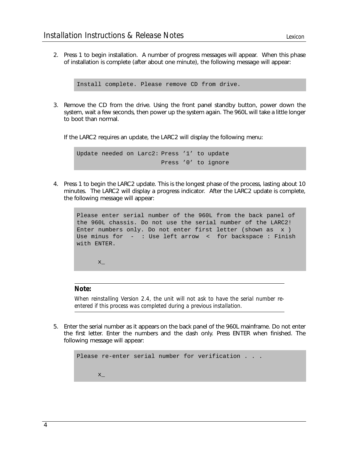2. Press 1 to begin installation. A number of progress messages will appear. When this phase of installation is complete (after about one minute), the following message will appear:

```
Install complete. Please remove CD from drive.
```
3. Remove the CD from the drive. Using the front panel standby button, power down the system, wait a few seconds, then power up the system again. The 960L will take a little longer to boot than normal.

If the LARC2 requires an update, the LARC2 will display the following menu:

Update needed on Larc2: Press '1' to update Press '0' to ignore

4. Press 1 to begin the LARC2 update. This is the longest phase of the process, lasting about 10 minutes. The LARC2 will display a progress indicator. After the LARC2 update is complete, the following message will appear:

```
Please enter serial number of the 960L from the back panel of
the 960L chassis. Do not use the serial number of the LARC2!
Enter numbers only. Do not enter first letter (shown as x )
Use minus for - : Use left arrow < for backspace : Finish
with ENTER.
     X_{-}
```
## *Note:*

*When reinstalling Version 2.4, the unit will not ask to have the serial number reentered if this process was completed during a previous installation.*

5. Enter the serial number as it appears on the back panel of the 960L mainframe. Do not enter the first letter. Enter the numbers and the dash only. Press ENTER when finished. The following message will appear:

```
Please re-enter serial number for verification . . .
      X_{-}
```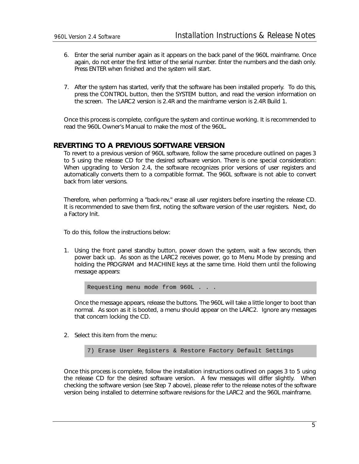- 6. Enter the serial number again as it appears on the back panel of the 960L mainframe. Once again, do not enter the first letter of the serial number. Enter the numbers and the dash only. Press ENTER when finished and the system will start.
- 7. After the system has started, verify that the software has been installed properly. To do this, press the CONTROL button, then the SYSTEM button, and read the version information on the screen. The LARC2 version is 2.4R and the mainframe version is 2.4R Build 1.

Once this process is complete, configure the system and continue working. It is recommended to read the 960L Owner's Manual to make the most of the 960L.

## **REVERTING TO A PREVIOUS SOFTWARE VERSION**

To revert to a previous version of 960L software, follow the same procedure outlined on pages 3 to 5 using the release CD for the desired software version. There is one special consideration: When upgrading to Version 2.4, the software recognizes prior versions of user registers and automatically converts them to a compatible format. The 960L software is not able to convert back from later versions.

Therefore, when performing a "back-rev," erase all user registers before inserting the release CD. It is recommended to save them first, noting the software version of the user registers. Next, do a Factory Init.

To do this, follow the instructions below:

1. Using the front panel standby button, power down the system, wait a few seconds, then power back up. As soon as the LARC2 receives power, go to Menu Mode by pressing and holding the PROGRAM and MACHINE keys at the same time. Hold them until the following message appears:

Requesting menu mode from 960L . . .

Once the message appears, release the buttons. The 960L will take a little longer to boot than normal. As soon as it is booted, a menu should appear on the LARC2. Ignore any messages that concern locking the CD.

2. Select this item from the menu:

7) Erase User Registers & Restore Factory Default Settings

Once this process is complete, follow the installation instructions outlined on pages 3 to 5 using the release CD for the desired software version. A few messages will differ slightly. When checking the software version (see Step 7 above), please refer to the release notes of the software version being installed to determine software revisions for the LARC2 and the 960L mainframe.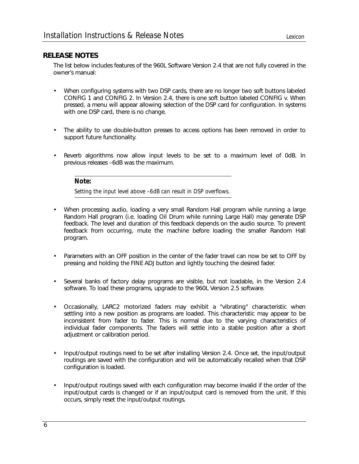## **RELEASE NOTES**

The list below includes features of the 960L Software Version 2.4 that are not fully covered in the owner's manual:

- When configuring systems with two DSP cards, there are no longer two soft buttons labeled CONFIG 1 and CONFIG 2. In Version 2.4, there is one soft button labeled CONFIG v. When pressed, a menu will appear allowing selection of the DSP card for configuration. In systems with one DSP card, there is no change.
- The ability to use double-button presses to access options has been removed in order to support future functionality.
- Reverb algorithms now allow input levels to be set to a maximum level of 0dB. In previous releases –6dB was the maximum.

## *Note:*

*Setting the input level above –6dB can result in DSP overflows.*

- When processing audio, loading a very small Random Hall program while running a large Random Hall program (i.e. loading Oil Drum while running Large Hall) may generate DSP feedback. The level and duration of this feedback depends on the audio source. To prevent feedback from occurring, mute the machine before loading the smaller Random Hall program.
- Parameters with an OFF position in the center of the fader travel can now be set to OFF by pressing and holding the FINE ADJ button and lightly touching the desired fader.
- Several banks of factory delay programs are visible, but not loadable, in the Version 2.4 software. To load these programs, upgrade to the 960L Version 2.5 software.
- Occasionally, LARC2 motorized faders may exhibit a "vibrating" characteristic when settling into a new position as programs are loaded. This characteristic may appear to be inconsistent from fader to fader. This is normal due to the varying characteristics of individual fader components. The faders will settle into a stable position after a short adjustment or calibration period.
- Input/output routings need to be set after installing Version 2.4. Once set, the input/output routings are saved with the configuration and will be automatically recalled when that DSP configuration is loaded.
- Input/output routings saved with each configuration may become invalid if the order of the input/output cards is changed or if an input/output card is removed from the unit. If this occurs, simply reset the input/output routings.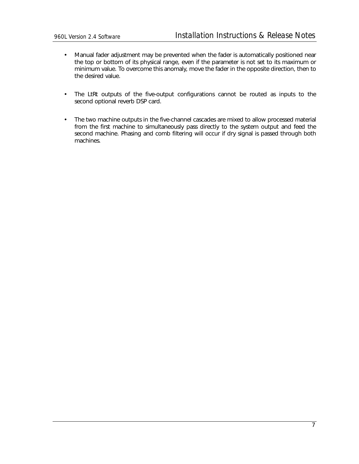- Manual fader adjustment may be prevented when the fader is automatically positioned near the top or bottom of its physical range, even if the parameter is not set to its maximum or minimum value. To overcome this anomaly, move the fader in the opposite direction, then to the desired value.
- The LtRt outputs of the five-output configurations cannot be routed as inputs to the second optional reverb DSP card.
- The two machine outputs in the five-channel cascades are mixed to allow processed material from the first machine to simultaneously pass directly to the system output and feed the second machine. Phasing and comb filtering will occur if dry signal is passed through both machines.